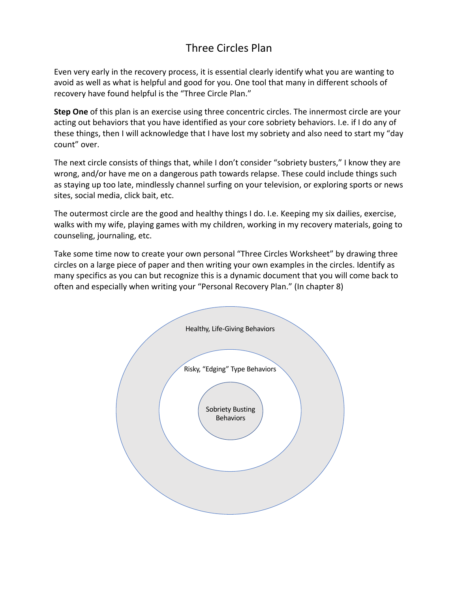## Three Circles Plan

Even very early in the recovery process, it is essential clearly identify what you are wanting to avoid as well as what is helpful and good for you. One tool that many in different schools of recovery have found helpful is the "Three Circle Plan."

**Step One** of this plan is an exercise using three concentric circles. The innermost circle are your acting out behaviors that you have identified as your core sobriety behaviors. I.e. if I do any of these things, then I will acknowledge that I have lost my sobriety and also need to start my "day count" over.

The next circle consists of things that, while I don't consider "sobriety busters," I know they are wrong, and/or have me on a dangerous path towards relapse. These could include things such as staying up too late, mindlessly channel surfing on your television, or exploring sports or news sites, social media, click bait, etc.

The outermost circle are the good and healthy things I do. I.e. Keeping my six dailies, exercise, walks with my wife, playing games with my children, working in my recovery materials, going to counseling, journaling, etc.

Take some time now to create your own personal "Three Circles Worksheet" by drawing three circles on a large piece of paper and then writing your own examples in the circles. Identify as many specifics as you can but recognize this is a dynamic document that you will come back to often and especially when writing your "Personal Recovery Plan." (In chapter 8)

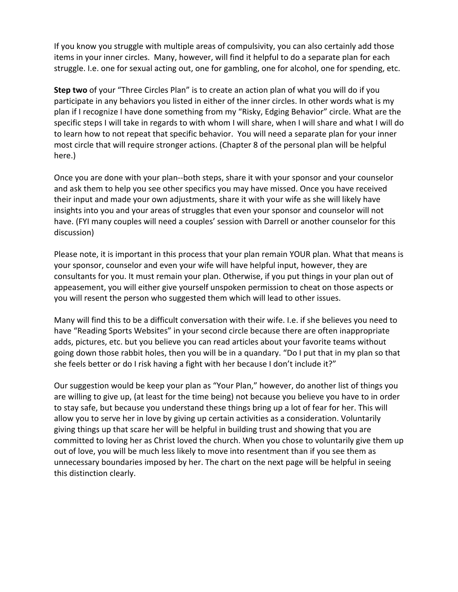If you know you struggle with multiple areas of compulsivity, you can also certainly add those items in your inner circles. Many, however, will find it helpful to do a separate plan for each struggle. I.e. one for sexual acting out, one for gambling, one for alcohol, one for spending, etc.

**Step two** of your "Three Circles Plan" is to create an action plan of what you will do if you participate in any behaviors you listed in either of the inner circles. In other words what is my plan if I recognize I have done something from my "Risky, Edging Behavior" circle. What are the specific steps I will take in regards to with whom I will share, when I will share and what I will do to learn how to not repeat that specific behavior. You will need a separate plan for your inner most circle that will require stronger actions. (Chapter 8 of the personal plan will be helpful here.)

Once you are done with your plan--both steps, share it with your sponsor and your counselor and ask them to help you see other specifics you may have missed. Once you have received their input and made your own adjustments, share it with your wife as she will likely have insights into you and your areas of struggles that even your sponsor and counselor will not have. (FYI many couples will need a couples' session with Darrell or another counselor for this discussion)

Please note, it is important in this process that your plan remain YOUR plan. What that means is your sponsor, counselor and even your wife will have helpful input, however, they are consultants for you. It must remain your plan. Otherwise, if you put things in your plan out of appeasement, you will either give yourself unspoken permission to cheat on those aspects or you will resent the person who suggested them which will lead to other issues.

Many will find this to be a difficult conversation with their wife. I.e. if she believes you need to have "Reading Sports Websites" in your second circle because there are often inappropriate adds, pictures, etc. but you believe you can read articles about your favorite teams without going down those rabbit holes, then you will be in a quandary. "Do I put that in my plan so that she feels better or do I risk having a fight with her because I don't include it?"

Our suggestion would be keep your plan as "Your Plan," however, do another list of things you are willing to give up, (at least for the time being) not because you believe you have to in order to stay safe, but because you understand these things bring up a lot of fear for her. This will allow you to serve her in love by giving up certain activities as a consideration. Voluntarily giving things up that scare her will be helpful in building trust and showing that you are committed to loving her as Christ loved the church. When you chose to voluntarily give them up out of love, you will be much less likely to move into resentment than if you see them as unnecessary boundaries imposed by her. The chart on the next page will be helpful in seeing this distinction clearly.